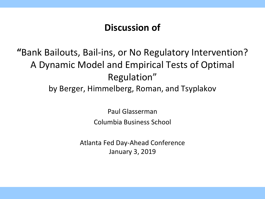### **Discussion of**

## **"**Bank Bailouts, Bail-ins, or No Regulatory Intervention? A Dynamic Model and Empirical Tests of Optimal Regulation" by Berger, Himmelberg, Roman, and Tsyplakov

Paul Glasserman Columbia Business School

Atlanta Fed Day-Ahead Conference January 3, 2019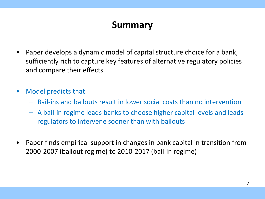### **Summary**

- Paper develops a dynamic model of capital structure choice for a bank, sufficiently rich to capture key features of alternative regulatory policies and compare their effects
- Model predicts that
	- Bail-ins and bailouts result in lower social costs than no intervention
	- A bail-in regime leads banks to choose higher capital levels and leads regulators to intervene sooner than with bailouts
- Paper finds empirical support in changes in bank capital in transition from 2000-2007 (bailout regime) to 2010-2017 (bail-in regime)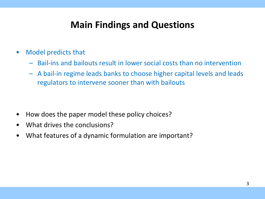### **Main Findings and Questions**

- Model predicts that
	- Bail-ins and bailouts result in lower social costs than no intervention
	- A bail-in regime leads banks to choose higher capital levels and leads regulators to intervene sooner than with bailouts

- How does the paper model these policy choices?
- What drives the conclusions?
- What features of a dynamic formulation are important?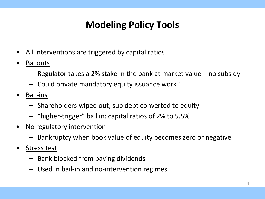# **Modeling Policy Tools**

- All interventions are triggered by capital ratios
- Bailouts
	- Regulator takes a 2% stake in the bank at market value no subsidy
	- Could private mandatory equity issuance work?
- Bail-ins
	- Shareholders wiped out, sub debt converted to equity
	- "higher-trigger" bail in: capital ratios of 2% to 5.5%
- No regulatory intervention
	- Bankruptcy when book value of equity becomes zero or negative
- Stress test
	- Bank blocked from paying dividends
	- Used in bail-in and no-intervention regimes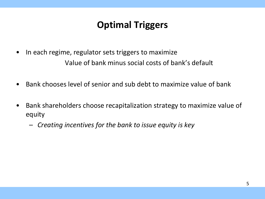## **Optimal Triggers**

- In each regime, regulator sets triggers to maximize Value of bank minus social costs of bank's default
- Bank chooses level of senior and sub debt to maximize value of bank
- Bank shareholders choose recapitalization strategy to maximize value of equity
	- *Creating incentives for the bank to issue equity is key*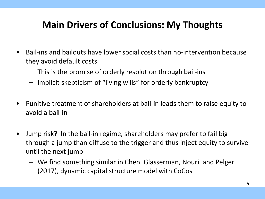## **Main Drivers of Conclusions: My Thoughts**

- Bail-ins and bailouts have lower social costs than no-intervention because they avoid default costs
	- This is the promise of orderly resolution through bail-ins
	- Implicit skepticism of "living wills" for orderly bankruptcy
- Punitive treatment of shareholders at bail-in leads them to raise equity to avoid a bail-in
- Jump risk? In the bail-in regime, shareholders may prefer to fail big through a jump than diffuse to the trigger and thus inject equity to survive until the next jump
	- We find something similar in Chen, Glasserman, Nouri, and Pelger (2017), dynamic capital structure model with CoCos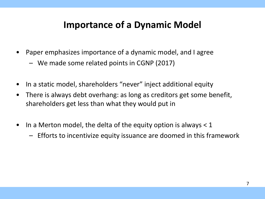#### **Importance of a Dynamic Model**

- Paper emphasizes importance of a dynamic model, and I agree
	- We made some related points in CGNP (2017)
- In a static model, shareholders "never" inject additional equity
- There is always debt overhang: as long as creditors get some benefit, shareholders get less than what they would put in
- In a Merton model, the delta of the equity option is always  $<$  1
	- Efforts to incentivize equity issuance are doomed in this framework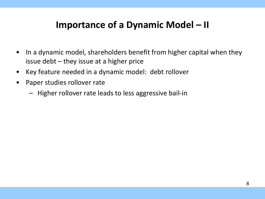### **Importance of a Dynamic Model – II**

- In a dynamic model, shareholders benefit from higher capital when they issue debt  $-$  they issue at a higher price
- Key feature needed in a dynamic model: debt rollover
- Paper studies rollover rate
	- Higher rollover rate leads to less aggressive bail-in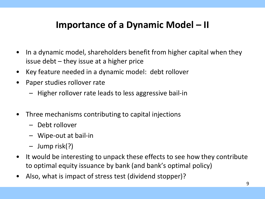## **Importance of a Dynamic Model – II**

- In a dynamic model, shareholders benefit from higher capital when they issue debt – they issue at a higher price
- Key feature needed in a dynamic model: debt rollover
- Paper studies rollover rate
	- Higher rollover rate leads to less aggressive bail-in
- Three mechanisms contributing to capital injections
	- Debt rollover
	- Wipe-out at bail-in
	- Jump risk(?)
- It would be interesting to unpack these effects to see how they contribute to optimal equity issuance by bank (and bank's optimal policy)
- Also, what is impact of stress test (dividend stopper)?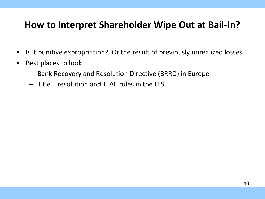#### **How to Interpret Shareholder Wipe Out at Bail-In?**

- Is it punitive expropriation? Or the result of previously unrealized losses?
- Best places to look
	- Bank Recovery and Resolution Directive (BRRD) in Europe
	- Title II resolution and TLAC rules in the U.S.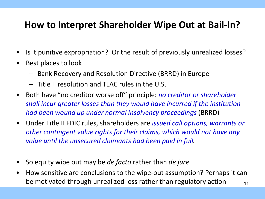#### **How to Interpret Shareholder Wipe Out at Bail-In?**

- Is it punitive expropriation? Or the result of previously unrealized losses?
- Best places to look
	- Bank Recovery and Resolution Directive (BRRD) in Europe
	- Title II resolution and TLAC rules in the U.S.
- Both have "no creditor worse off" principle: *no creditor or shareholder shall incur greater losses than they would have incurred if the institution had been wound up under normal insolvency proceedings* (BRRD)
- Under Title II FDIC rules, shareholders are *issued call options, warrants or other contingent value rights for their claims, which would not have any value until the unsecured claimants had been paid in full.*
- So equity wipe out may be *de facto* rather than *de jure*
- How sensitive are conclusions to the wipe-out assumption? Perhaps it can be motivated through unrealized loss rather than regulatory action  $11$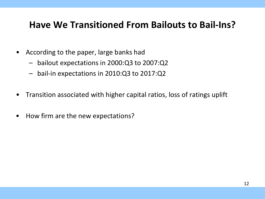#### **Have We Transitioned From Bailouts to Bail-Ins?**

- According to the paper, large banks had
	- bailout expectations in 2000:Q3 to 2007:Q2
	- bail-in expectations in 2010:Q3 to 2017:Q2
- Transition associated with higher capital ratios, loss of ratings uplift
- How firm are the new expectations?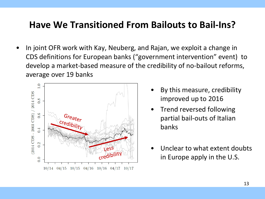#### **Have We Transitioned From Bailouts to Bail-Ins?**

• In joint OFR work with Kay, Neuberg, and Rajan, we exploit a change in CDS definitions for European banks ("government intervention" event) to develop a market-based measure of the credibility of no-bailout reforms, average over 19 banks



- By this measure, credibility improved up to 2016
- Trend reversed following partial bail-outs of Italian banks
- Unclear to what extent doubts in Europe apply in the U.S.